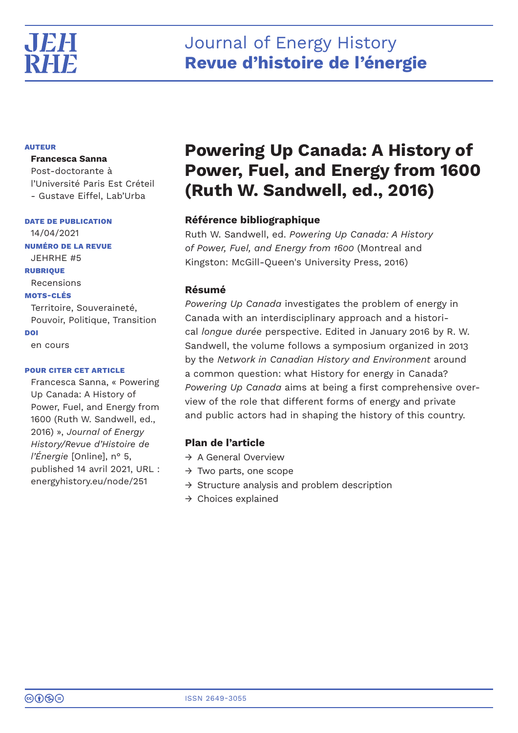

# Journal of Energy History **Revue d'histoire de l'énergie**

# **AUTEUR**

## **Francesca Sanna**

Post-doctorante à l'Université Paris Est Créteil - Gustave Eiffel, Lab'Urba

**DATE DE PUBLICATION**

14/04/2021 **NUMÉRO DE LA REVUE** JEHRHE #5 **RUBRIQUE** Recensions **MOTS-CLÉS** Territoire, Souveraineté, Pouvoir, Politique, Transition **DOI**

en cours

### **POUR CITER CET ARTICLE**

Francesca Sanna, « Powering Up Canada: A History of Power, Fuel, and Energy from 1600 (Ruth W. Sandwell, ed., 2016) », *Journal of Energy History/Revue d'Histoire de l'Énergie* [Online], n° 5, published 14 avril 2021, URL : energyhistory.eu/node/251

# **Powering Up Canada: A History of Power, Fuel, and Energy from 1600 (Ruth W. Sandwell, ed., 2016)**

# **Référence bibliographique**

Ruth W. Sandwell, ed. *Powering Up Canada: A History of Power, Fuel, and Energy from 1600* (Montreal and Kingston: McGill-Queen's University Press, 2016)

# **Résumé**

*Powering Up Canada* investigates the problem of energy in Canada with an interdisciplinary approach and a historical *longue durée* perspective. Edited in January 2016 by R. W. Sandwell, the volume follows a symposium organized in 2013 by the *Network in Canadian History and Environment* around a common question: what History for energy in Canada? *Powering Up Canada* aims at being a first comprehensive overview of the role that different forms of energy and private and public actors had in shaping the history of this country.

# **Plan de l'article**

- → A General Overview
- $\rightarrow$  Two parts, one scope
- $\rightarrow$  Structure analysis and problem description
- → Choices explained

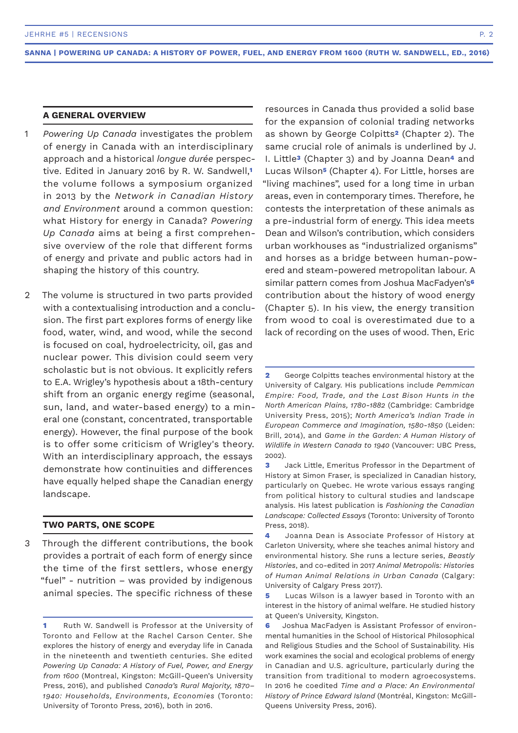## **A GENERAL OVERVIEW**

- *Powering Up Canada* investigates the problem of energy in Canada with an interdisciplinary approach and a historical *longue durée* perspective. Edited in January 2016 by R. W. Sandwell,**<sup>1</sup>** the volume follows a symposium organized in 2013 by the *Network in Canadian History and Environment* around a common question: what History for energy in Canada? *Powering Up Canada* aims at being a first comprehensive overview of the role that different forms of energy and private and public actors had in shaping the history of this country. 1
- The volume is structured in two parts provided with a contextualising introduction and a conclusion. The first part explores forms of energy like food, water, wind, and wood, while the second is focused on coal, hydroelectricity, oil, gas and nuclear power. This division could seem very scholastic but is not obvious. It explicitly refers to E.A. Wrigley's hypothesis about a 18th-century shift from an organic energy regime (seasonal, sun, land, and water-based energy) to a mineral one (constant, concentrated, transportable energy). However, the final purpose of the book is to offer some criticism of Wrigley's theory. With an interdisciplinary approach, the essays demonstrate how continuities and differences have equally helped shape the Canadian energy landscape.  $\mathfrak{D}$

#### **TWO PARTS, ONE SCOPE**

Through the different contributions, the book provides a portrait of each form of energy since the time of the first settlers, whose energy "fuel" - nutrition – was provided by indigenous animal species. The specific richness of these 3

resources in Canada thus provided a solid base for the expansion of colonial trading networks as shown by George Colpitts**2** (Chapter 2). The same crucial role of animals is underlined by J. I. Little**3** (Chapter 3) and by Joanna Dean**4** and Lucas Wilson**5** (Chapter 4). For Little, horses are "living machines", used for a long time in urban areas, even in contemporary times. Therefore, he contests the interpretation of these animals as a pre-industrial form of energy. This idea meets Dean and Wilson's contribution, which considers urban workhouses as "industrialized organisms" and horses as a bridge between human-powered and steam-powered metropolitan labour. A similar pattern comes from Joshua MacFadyen's**<sup>6</sup>** contribution about the history of wood energy (Chapter 5). In his view, the energy transition from wood to coal is overestimated due to a lack of recording on the uses of wood. Then, Eric

**2** George Colpitts teaches environmental history at the University of Calgary. His publications include *Pemmican Empire: Food, Trade, and the Last Bison Hunts in the North American Plains, 1780-1882* (Cambridge: Cambridge University Press, 2015); *North America's Indian Trade in European Commerce and Imagination, 1580-1850* (Leiden: Brill, 2014), and *Game in the Garden: A Human History of Wildlife in Western Canada to 1940* (Vancouver: UBC Press, 2002).

**5** Lucas Wilson is a lawyer based in Toronto with an interest in the history of animal welfare. He studied history at Queen's University, Kingston.

**<sup>1</sup>** Ruth W. Sandwell is Professor at the University of Toronto and Fellow at the Rachel Carson Center. She explores the history of energy and everyday life in Canada in the nineteenth and twentieth centuries. She edited *Powering Up Canada: A History of Fuel, Power, and Energy from 1600* (Montreal, Kingston: McGill-Queen's University Press, 2016), and published *Canada's Rural Majority, 1870– 1940: Households, Environments, Economies* (Toronto: University of Toronto Press, 2016), both in 2016.

**<sup>3</sup>** Jack Little, Emeritus Professor in the Department of History at Simon Fraser, is specialized in Canadian history, particularly on Quebec. He wrote various essays ranging from political history to cultural studies and landscape analysis. His latest publication is *Fashioning the Canadian Landscape: Collected Essays* (Toronto: University of Toronto Press, 2018).

**<sup>4</sup>** Joanna Dean is Associate Professor of History at Carleton University, where she teaches animal history and environmental history. She runs a lecture series, *Beastly Histories*, and co-edited in 2017 *Animal Metropolis: Histories of Human Animal Relations in Urban Canada* (Calgary: University of Calgary Press 2017).

**<sup>6</sup>** Joshua MacFadyen is Assistant Professor of environmental humanities in the School of Historical Philosophical and Religious Studies and the School of Sustainability. His work examines the social and ecological problems of energy in Canadian and U.S. agriculture, particularly during the transition from traditional to modern agroecosystems. In 2016 he coedited *Time and a Place: An Environmental History of Prince Edward Island* (Montréal, Kingston: McGill-Queens University Press, 2016).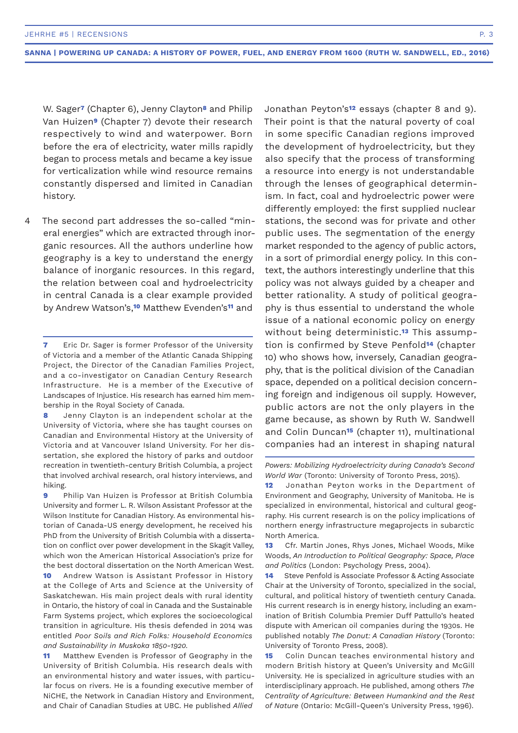W. Sager**7** (Chapter 6), Jenny Clayton**8** and Philip Van Huizen**9** (Chapter 7) devote their research respectively to wind and waterpower. Born before the era of electricity, water mills rapidly began to process metals and became a key issue for verticalization while wind resource remains constantly dispersed and limited in Canadian history.

The second part addresses the so-called "mineral energies" which are extracted through inorganic resources. All the authors underline how geography is a key to understand the energy balance of inorganic resources. In this regard, the relation between coal and hydroelectricity in central Canada is a clear example provided by Andrew Watson's,**10** Matthew Evenden's**11** and  $\Delta$ 

**9** Philip Van Huizen is Professor at British Columbia University and former L. R. Wilson Assistant Professor at the Wilson Institute for Canadian History. As environmental historian of Canada-US energy development, he received his PhD from the University of British Columbia with a dissertation on conflict over power development in the Skagit Valley, which won the American Historical Association's prize for the best doctoral dissertation on the North American West.

**10** Andrew Watson is Assistant Professor in History at the College of Arts and Science at the University of Saskatchewan. His main project deals with rural identity in Ontario, the history of coal in Canada and the Sustainable Farm Systems project, which explores the socioecological transition in agriculture. His thesis defended in 2014 was entitled *Poor Soils and Rich Folks: Household Economics and Sustainability in Muskoka 1850-1920.*

**11** Matthew Evenden is Professor of Geography in the University of British Columbia. His research deals with an environmental history and water issues, with particular focus on rivers. He is a founding executive member of NiCHE, the Network in Canadian History and Environment, and Chair of Canadian Studies at UBC. He published *Allied* 

Jonathan Peyton's**12** essays (chapter 8 and 9). Their point is that the natural poverty of coal in some specific Canadian regions improved the development of hydroelectricity, but they also specify that the process of transforming a resource into energy is not understandable through the lenses of geographical determinism. In fact, coal and hydroelectric power were differently employed: the first supplied nuclear stations, the second was for private and other public uses. The segmentation of the energy market responded to the agency of public actors, in a sort of primordial energy policy. In this context, the authors interestingly underline that this policy was not always guided by a cheaper and better rationality. A study of political geography is thus essential to understand the whole issue of a national economic policy on energy without being deterministic.**13** This assumption is confirmed by Steve Penfold**14** (chapter 10) who shows how, inversely, Canadian geography, that is the political division of the Canadian space, depended on a political decision concerning foreign and indigenous oil supply. However, public actors are not the only players in the game because, as shown by Ruth W. Sandwell and Colin Duncan**15** (chapter 11), multinational companies had an interest in shaping natural

**12** Jonathan Peyton works in the Department of Environment and Geography, University of Manitoba. He is specialized in environmental, historical and cultural geography. His current research is on the policy implications of northern energy infrastructure megaprojects in subarctic North America.

**13** Cfr. Martin Jones, Rhys Jones, Michael Woods, Mike Woods, *An Introduction to Political Geography: Space, Place and Politics* (London: Psychology Press, 2004).

**14** Steve Penfold is Associate Professor & Acting Associate Chair at the University of Toronto, specialized in the social, cultural, and political history of twentieth century Canada. His current research is in energy history, including an examination of British Columbia Premier Duff Pattullo's heated dispute with American oil companies during the 1930s. He published notably *The Donut: A Canadian History* (Toronto: University of Toronto Press, 2008).

**15** Colin Duncan teaches environmental history and modern British history at Queen's University and McGill University. He is specialized in agriculture studies with an interdisciplinary approach. He published, among others *The Centrality of Agriculture: Between Humankind and the Rest of Nature* (Ontario: McGill-Queen's University Press, 1996).

**<sup>7</sup>** Eric Dr. Sager is former Professor of the University of Victoria and a member of the Atlantic Canada Shipping Project, the Director of the Canadian Families Project, and a co-investigator on Canadian Century Research Infrastructure. He is a member of the Executive of Landscapes of Injustice. His research has earned him membership in the Royal Society of Canada.

**<sup>8</sup>** Jenny Clayton is an independent scholar at the University of Victoria, where she has taught courses on Canadian and Environmental History at the University of Victoria and at Vancouver Island University. For her dissertation, she explored the history of parks and outdoor recreation in twentieth-century British Columbia, a project that involved archival research, oral history interviews, and hiking.

*Powers: Mobilizing Hydroelectricity during Canada's Second World War* (Toronto: University of Toronto Press, 2015).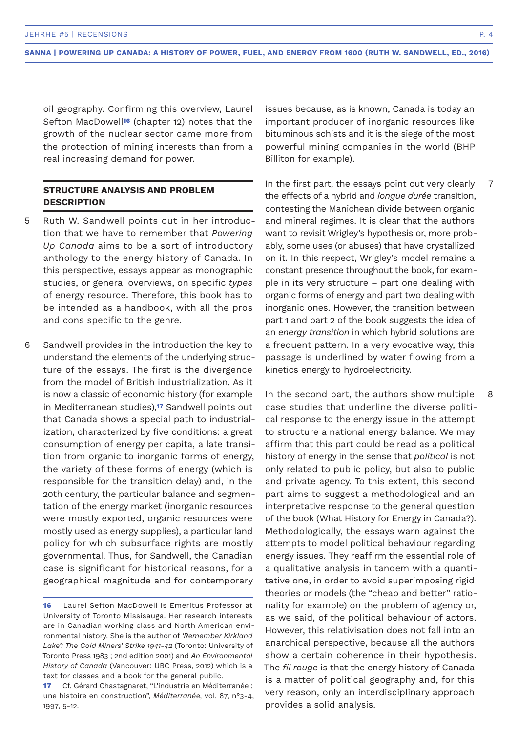oil geography. Confirming this overview, Laurel Sefton MacDowell**16** (chapter 12) notes that the growth of the nuclear sector came more from the protection of mining interests than from a real increasing demand for power.

# **STRUCTURE ANALYSIS AND PROBLEM DESCRIPTION**

- Ruth W. Sandwell points out in her introduction that we have to remember that *Powering Up Canada* aims to be a sort of introductory anthology to the energy history of Canada. In this perspective, essays appear as monographic studies, or general overviews, on specific *types* of energy resource. Therefore, this book has to be intended as a handbook, with all the pros and cons specific to the genre. 5
- Sandwell provides in the introduction the key to understand the elements of the underlying structure of the essays. The first is the divergence from the model of British industrialization. As it is now a classic of economic history (for example in Mediterranean studies),**17** Sandwell points out that Canada shows a special path to industrialization, characterized by five conditions: a great consumption of energy per capita, a late transition from organic to inorganic forms of energy, the variety of these forms of energy (which is responsible for the transition delay) and, in the 20th century, the particular balance and segmentation of the energy market (inorganic resources were mostly exported, organic resources were mostly used as energy supplies), a particular land policy for which subsurface rights are mostly governmental. Thus, for Sandwell, the Canadian case is significant for historical reasons, for a geographical magnitude and for contemporary 6

issues because, as is known, Canada is today an important producer of inorganic resources like bituminous schists and it is the siege of the most powerful mining companies in the world (BHP Billiton for example).

In the first part, the essays point out very clearly the effects of a hybrid and *longue durée* transition, contesting the Manichean divide between organic and mineral regimes. It is clear that the authors want to revisit Wrigley's hypothesis or, more probably, some uses (or abuses) that have crystallized on it. In this respect, Wrigley's model remains a constant presence throughout the book, for example in its very structure – part one dealing with organic forms of energy and part two dealing with inorganic ones. However, the transition between part 1 and part 2 of the book suggests the idea of an *energy transition* in which hybrid solutions are a frequent pattern. In a very evocative way, this passage is underlined by water flowing from a kinetics energy to hydroelectricity. 7

In the second part, the authors show multiple case studies that underline the diverse political response to the energy issue in the attempt to structure a national energy balance. We may affirm that this part could be read as a political history of energy in the sense that *political* is not only related to public policy, but also to public and private agency. To this extent, this second part aims to suggest a methodological and an interpretative response to the general question of the book (What History for Energy in Canada?). Methodologically, the essays warn against the attempts to model political behaviour regarding energy issues. They reaffirm the essential role of a qualitative analysis in tandem with a quantitative one, in order to avoid superimposing rigid theories or models (the "cheap and better" rationality for example) on the problem of agency or, as we said, of the political behaviour of actors. However, this relativisation does not fall into an anarchical perspective, because all the authors show a certain coherence in their hypothesis. The *fil rouge* is that the energy history of Canada is a matter of political geography and, for this very reason, only an interdisciplinary approach provides a solid analysis.

8

**<sup>16</sup>** Laurel Sefton MacDowell is Emeritus Professor at University of Toronto Missisauga. Her research interests are in Canadian working class and North American environmental history. She is the author of *'Remember Kirkland Lake': The Gold Miners' Strike 1941-42* (Toronto: University of Toronto Press 1983 ; 2nd edition 2001) and *An Environmental History of Canada* (Vancouver: UBC Press, 2012) which is a text for classes and a book for the general public.

**<sup>17</sup>** Cf. Gérard Chastagnaret, "L'industrie en Méditerranée : une histoire en construction", *Méditerranée,* vol. 87, n°3-4, 1997, 5-12.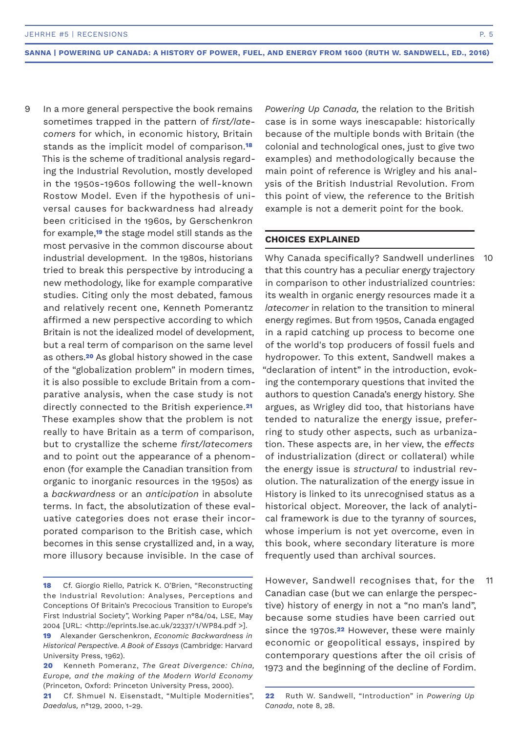In a more general perspective the book remains sometimes trapped in the pattern of *first/latecomers* for which, in economic history, Britain stands as the implicit model of comparison.**<sup>18</sup>** This is the scheme of traditional analysis regarding the Industrial Revolution, mostly developed in the 1950s-1960s following the well-known Rostow Model. Even if the hypothesis of universal causes for backwardness had already been criticised in the 1960s, by Gerschenkron for example,**19** the stage model still stands as the most pervasive in the common discourse about industrial development. In the 1980s, historians tried to break this perspective by introducing a new methodology, like for example comparative studies. Citing only the most debated, famous and relatively recent one, Kenneth Pomerantz affirmed a new perspective according to which Britain is not the idealized model of development, but a real term of comparison on the same level as others.**20** As global history showed in the case of the "globalization problem" in modern times, it is also possible to exclude Britain from a comparative analysis, when the case study is not directly connected to the British experience.**<sup>21</sup>** These examples show that the problem is not really to have Britain as a term of comparison, but to crystallize the scheme *first/latecomers* and to point out the appearance of a phenomenon (for example the Canadian transition from organic to inorganic resources in the 1950s) as a *backwardness* or an *anticipation* in absolute terms. In fact, the absolutization of these evaluative categories does not erase their incorporated comparison to the British case, which becomes in this sense crystallized and, in a way, more illusory because invisible. In the case of 9

*Powering Up Canada,* the relation to the British case is in some ways inescapable: historically because of the multiple bonds with Britain (the colonial and technological ones, just to give two examples) and methodologically because the main point of reference is Wrigley and his analysis of the British Industrial Revolution. From this point of view, the reference to the British example is not a demerit point for the book.

#### **CHOICES EXPLAINED**

Why Canada specifically? Sandwell underlines that this country has a peculiar energy trajectory in comparison to other industrialized countries: its wealth in organic energy resources made it a *latecomer* in relation to the transition to mineral energy regimes. But from 1950s, Canada engaged in a rapid catching up process to become one of the world's top producers of fossil fuels and hydropower. To this extent, Sandwell makes a "declaration of intent" in the introduction, evoking the contemporary questions that invited the authors to question Canada's energy history. She argues, as Wrigley did too, that historians have tended to naturalize the energy issue, preferring to study other aspects, such as urbanization. These aspects are, in her view, the *effects* of industrialization (direct or collateral) while the energy issue is *structural* to industrial revolution. The naturalization of the energy issue in History is linked to its unrecognised status as a historical object. Moreover, the lack of analytical framework is due to the tyranny of sources, whose imperium is not yet overcome, even in this book, where secondary literature is more frequently used than archival sources.

However, Sandwell recognises that, for the Canadian case (but we can enlarge the perspective) history of energy in not a "no man's land", because some studies have been carried out since the 1970s.**22** However, these were mainly economic or geopolitical essays, inspired by contemporary questions after the oil crisis of 1973 and the beginning of the decline of Fordim.

10

11

**<sup>18</sup>** Cf. Giorgio Riello, Patrick K. O'Brien, "Reconstructing the Industrial Revolution: Analyses, Perceptions and Conceptions Of Britain's Precocious Transition to Europe's First Industrial Society", Working Paper n°84/04, LSE, May 2004 [URL: <http://eprints.lse.ac.uk/22337/1/WP84.pdf >].

**<sup>19</sup>** Alexander Gerschenkron, *Economic Backwardness in Historical Perspective. A Book of Essays* (Cambridge: Harvard University Press, 1962).

**<sup>20</sup>** Kenneth Pomeranz, *The Great Divergence: China, Europe, and the making of the Modern World Economy* (Princeton, Oxford: Princeton University Press, 2000).

**<sup>21</sup>** Cf. Shmuel N. Eisenstadt, "Multiple Modernities", *Daedalus,* n°129, 2000, 1-29.

**<sup>22</sup>** Ruth W. Sandwell, "Introduction" in *Powering Up Canada*, note 8, 28.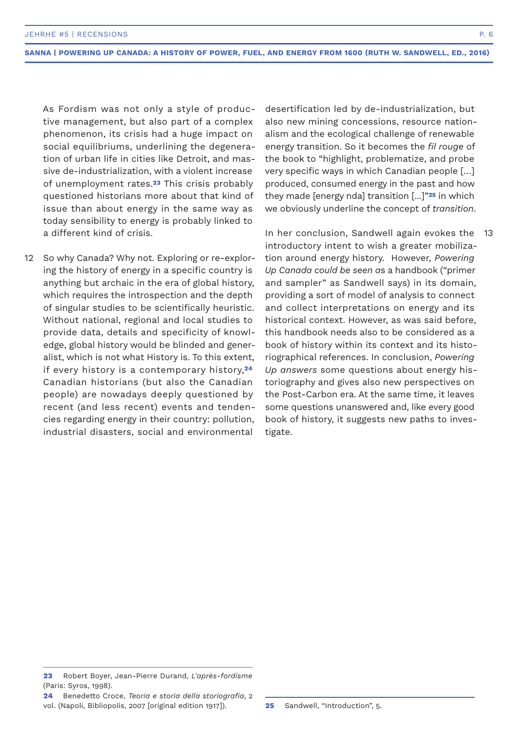As Fordism was not only a style of productive management, but also part of a complex phenomenon, its crisis had a huge impact on social equilibriums, underlining the degeneration of urban life in cities like Detroit, and massive de-industrialization, with a violent increase of unemployment rates.**23** This crisis probably questioned historians more about that kind of issue than about energy in the same way as today sensibility to energy is probably linked to a different kind of crisis.

12 So why Canada? Why not. Exploring or re-exploring the history of energy in a specific country is anything but archaic in the era of global history, which requires the introspection and the depth of singular studies to be scientifically heuristic. Without national, regional and local studies to provide data, details and specificity of knowledge, global history would be blinded and generalist, which is not what History is. To this extent, if every history is a contemporary history,**<sup>24</sup>** Canadian historians (but also the Canadian people) are nowadays deeply questioned by recent (and less recent) events and tendencies regarding energy in their country: pollution, industrial disasters, social and environmental

desertification led by de-industrialization, but also new mining concessions, resource nationalism and the ecological challenge of renewable energy transition. So it becomes the *fil rouge* of the book to "highlight, problematize, and probe very specific ways in which Canadian people […] produced, consumed energy in the past and how they made [energy nda] transition [...]"**25** in which we obviously underline the concept of *transition*.

In her conclusion, Sandwell again evokes the introductory intent to wish a greater mobilization around energy history. However, *Powering Up Canada could be seen a*s a handbook ("primer and sampler" as Sandwell says) in its domain, providing a sort of model of analysis to connect and collect interpretations on energy and its historical context. However, as was said before, this handbook needs also to be considered as a book of history within its context and its historiographical references. In conclusion, *Powering Up answers* some questions about energy historiography and gives also new perspectives on the Post-Carbon era. At the same time, it leaves some questions unanswered and, like every good book of history, it suggests new paths to investigate. 13

**<sup>23</sup>** Robert Boyer, Jean-Pierre Durand, *L'après-fordisme* (Paris: Syros, 1998).

**<sup>24</sup>** Benedetto Croce, *Teoria e storia della storiografia*, 2 vol. (Napoli, Bibliopolis, 2007 [original edition 1917]).